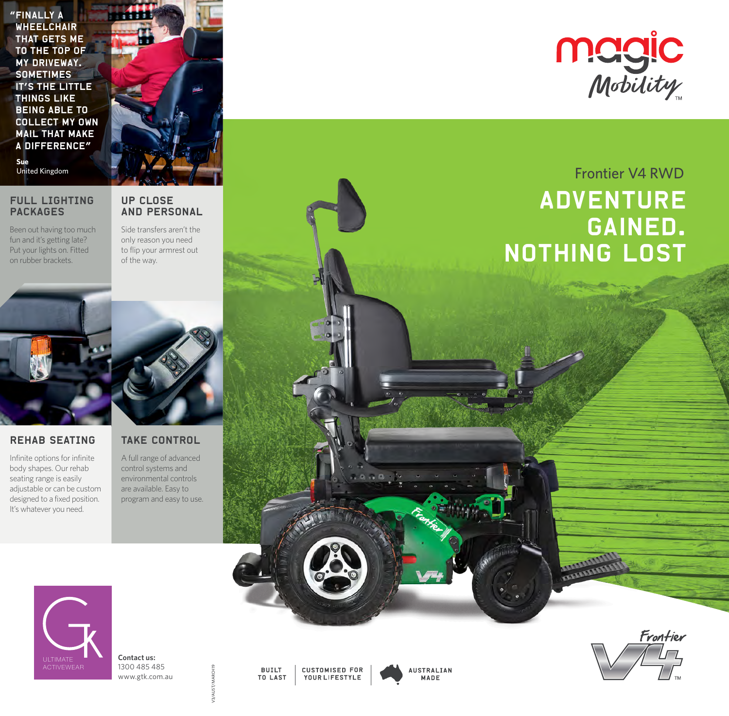"Finally a **WHEELCHAIR** that gets me to the top of my driveway. **SOMETIMES** it's the little **THINGS LIKE** being able to collect my own mail that make a difference" **Sue**

#### FULL LIGHTING PACKAGES

fun and it's getting late? Put your lights on. Fitted on rubber brackets.

AND PERSONAL Side transfers aren't the Been out having too much

only reason you need to flip your armrest out of the way.

UP CLOSE



#### REHAB SEATING

Infinite options for infinite body shapes. Our rehab seating range is easily adjustable or can be custom designed to a fixed position. It's whatever you need.

### TAKE CONTROL

A full range of advanced control systems and environmental controls are available. Easy to program and easy to use.



**Contact us:** 1300 485 485 www.gtk.com.au

V3/AUST/MARCH19

**BUILT CUSTOMISED FOR TO LAST** YOUR LIFESTYLE



**Magic**<br>Mobility

## United Kingdom **Frontier V4 RWD ADVENTURE** gained. **NOTHING LOST**

**Muun ARTICULUM**